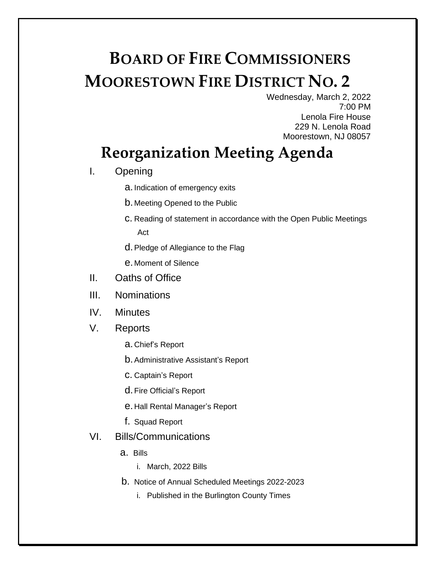## **BOARD OF FIRE COMMISSIONERS MOORESTOWN FIRE DISTRICT NO. 2**

Wednesday, March 2, 2022 7:00 PM Lenola Fire House 229 N. Lenola Road Moorestown, NJ 08057

## **Reorganization Meeting Agenda**

- I. Opening
	- a.Indication of emergency exits
	- b. Meeting Opened to the Public
	- c. Reading of statement in accordance with the Open Public Meetings Act
	- d.Pledge of Allegiance to the Flag
	- e. Moment of Silence
- II. Oaths of Office
- III. Nominations
- IV. Minutes
- V. Reports
	- a. Chief's Report
	- b.Administrative Assistant's Report
	- c. Captain's Report
	- d. Fire Official's Report
	- e. Hall Rental Manager's Report
	- f. Squad Report
- VI. Bills/Communications
	- a. Bills
		- i. March, 2022 Bills
	- b. Notice of Annual Scheduled Meetings 2022-2023
		- i. Published in the Burlington County Times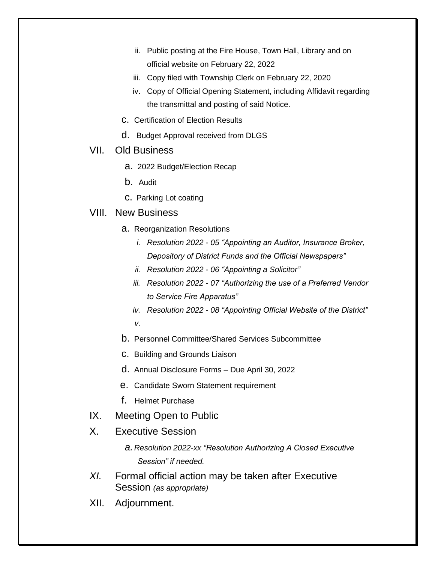- ii. Public posting at the Fire House, Town Hall, Library and on official website on February 22, 2022
- iii. Copy filed with Township Clerk on February 22, 2020
- iv. Copy of Official Opening Statement, including Affidavit regarding the transmittal and posting of said Notice.
- c. Certification of Election Results
- d. Budget Approval received from DLGS
- VII. Old Business
	- a. 2022 Budget/Election Recap
	- b. Audit
	- c. Parking Lot coating
- VIII. New Business
	- a. Reorganization Resolutions
		- *i. Resolution 2022 - 05 "Appointing an Auditor, Insurance Broker, Depository of District Funds and the Official Newspapers"*
		- *ii. Resolution 2022 - 06 "Appointing a Solicitor"*
		- *iii. Resolution 2022 - 07 "Authorizing the use of a Preferred Vendor to Service Fire Apparatus"*
		- *iv. Resolution 2022 - 08 "Appointing Official Website of the District" v.*
	- b. Personnel Committee/Shared Services Subcommittee
	- c. Building and Grounds Liaison
	- d. Annual Disclosure Forms Due April 30, 2022
	- e. Candidate Sworn Statement requirement
	- f. Helmet Purchase
- IX. Meeting Open to Public
- X. Executive Session
	- *a. Resolution 2022-xx "Resolution Authorizing A Closed Executive Session" if needed.*
- *XI.* Formal official action may be taken after Executive Session *(as appropriate)*
- XII. Adjournment.